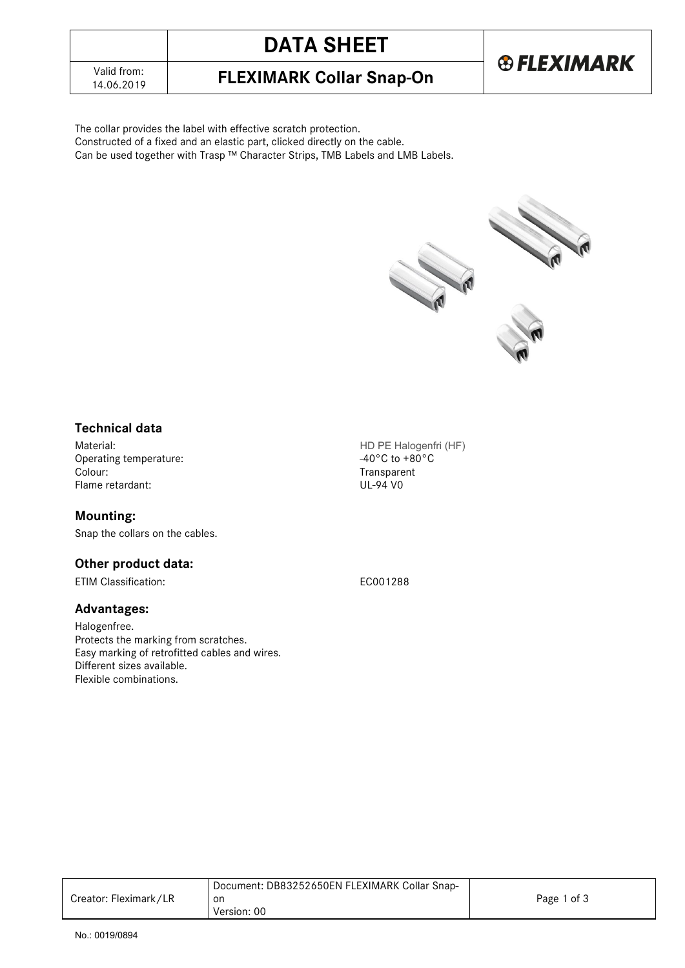# **DATA SHEET**



14.06.2019 **FLEXIMARK Collar Snap-On**

The collar provides the label with effective scratch protection.

Constructed of a fixed and an elastic part, clicked directly on the cable.

Can be used together with Trasp ™ Character Strips, TMB Labels and LMB Labels.



### **Technical data**

Material:<br>
Operating temperature:<br>
Operating temperature:<br>  $-40^{\circ}$ C to +80°C Operating temperature:<br>Colour: Flame retardant:

### **Mounting:**

Snap the collars on the cables.

### **Other product data:**

ETIM Classification: EC001288

#### **Advantages:**

Halogenfree. Protects the marking from scratches. Easy marking of retrofitted cables and wires. Different sizes available. Flexible combinations.

Transparent<br>UL-94 V0

| Creator: Fleximark/LR | Document: DB83252650EN FLEXIMARK Collar Snap-<br>on<br>Version: 00 | Page 1 of 3 |
|-----------------------|--------------------------------------------------------------------|-------------|
|-----------------------|--------------------------------------------------------------------|-------------|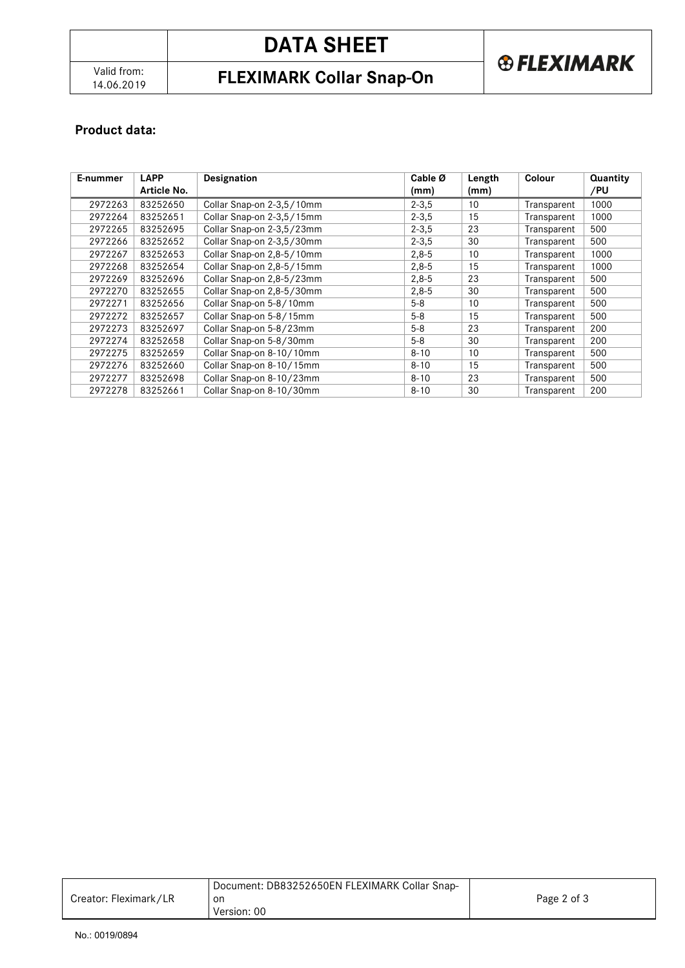## **DATA SHEET**

### 14.06.2019 **FLEXIMARK Collar Snap-On**

### **® FLEXIMARK**

### **Product data:**

| E-nummer | <b>LAPP</b> | Designation               | Cable Ø   | Length | Colour      | Quantity |
|----------|-------------|---------------------------|-----------|--------|-------------|----------|
|          | Article No. |                           | (mm)      | (mm)   |             | /PU      |
| 2972263  | 83252650    | Collar Snap-on 2-3,5/10mm | $2 - 3.5$ | 10     | Transparent | 1000     |
| 2972264  | 83252651    | Collar Snap-on 2-3,5/15mm | $2 - 3,5$ | 15     | Transparent | 1000     |
| 2972265  | 83252695    | Collar Snap-on 2-3,5/23mm | $2 - 3,5$ | 23     | Transparent | 500      |
| 2972266  | 83252652    | Collar Snap-on 2-3,5/30mm | $2 - 3.5$ | 30     | Transparent | 500      |
| 2972267  | 83252653    | Collar Snap-on 2,8-5/10mm | $2,8-5$   | 10     | Transparent | 1000     |
| 2972268  | 83252654    | Collar Snap-on 2,8-5/15mm | $2,8-5$   | 15     | Transparent | 1000     |
| 2972269  | 83252696    | Collar Snap-on 2,8-5/23mm | $2,8-5$   | 23     | Transparent | 500      |
| 2972270  | 83252655    | Collar Snap-on 2,8-5/30mm | $2,8-5$   | 30     | Transparent | 500      |
| 2972271  | 83252656    | Collar Snap-on 5-8/10mm   | $5 - 8$   | 10     | Transparent | 500      |
| 2972272  | 83252657    | Collar Snap-on 5-8/15mm   | $5 - 8$   | 15     | Transparent | 500      |
| 2972273  | 83252697    | Collar Snap-on 5-8/23mm   | $5 - 8$   | 23     | Transparent | 200      |
| 2972274  | 83252658    | Collar Snap-on 5-8/30mm   | $5 - 8$   | 30     | Transparent | 200      |
| 2972275  | 83252659    | Collar Snap-on 8-10/10mm  | $8 - 10$  | 10     | Transparent | 500      |
| 2972276  | 83252660    | Collar Snap-on 8-10/15mm  | $8 - 10$  | 15     | Transparent | 500      |
| 2972277  | 83252698    | Collar Snap-on 8-10/23mm  | $8 - 10$  | 23     | Transparent | 500      |
| 2972278  | 83252661    | Collar Snap-on 8-10/30mm  | $8 - 10$  | 30     | Transparent | 200      |

| Creator: Fleximark/LR | Document: DB83252650EN FLEXIMARK Collar Snap-<br>on<br>Version: 00 | Page 2 of 3 |
|-----------------------|--------------------------------------------------------------------|-------------|
|                       |                                                                    |             |